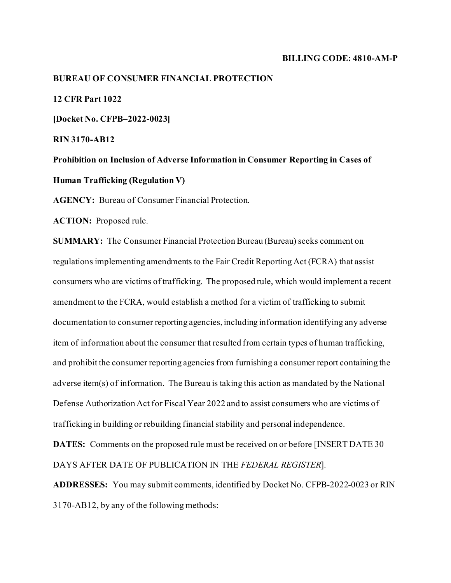#### **BILLING CODE: 4810-AM-P**

# **BUREAU OF CONSUMER FINANCIAL PROTECTION**

**12 CFR Part 1022** 

**[Docket No. CFPB–2022-0023]**

**RIN 3170-AB12**

**Prohibition on Inclusion of Adverse Information in Consumer Reporting in Cases of Human Trafficking (Regulation V)**

**AGENCY:** Bureau of Consumer Financial Protection.

**ACTION:** Proposed rule.

**SUMMARY:** The Consumer Financial Protection Bureau (Bureau) seeks comment on regulations implementing amendments to the Fair Credit Reporting Act (FCRA) that assist consumers who are victims of trafficking. The proposed rule, which would implement a recent amendment to the FCRA, would establish a method for a victim of trafficking to submit documentation to consumer reporting agencies, including information identifying any adverse item of information about the consumer that resulted from certain types of human trafficking, and prohibit the consumer reporting agencies from furnishing a consumer report containing the adverse item(s) of information. The Bureau is taking this action as mandated by the National Defense Authorization Act for Fiscal Year 2022 and to assist consumers who are victims of trafficking in building or rebuilding financial stability and personal independence.

**DATES:** Comments on the proposed rule must be received on or before [INSERT DATE 30 DAYS AFTER DATE OF PUBLICATION IN THE *FEDERAL REGISTER*].

**ADDRESSES:** You may submit comments, identified by Docket No. CFPB-2022-0023 or RIN 3170-AB12, by any of the following methods: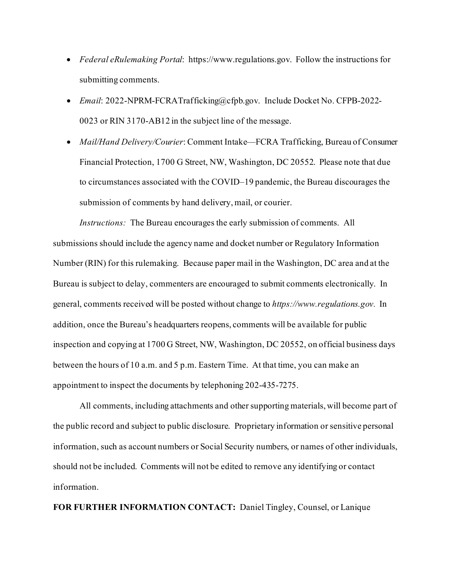- *Federal eRulemaking Portal*: https://www.regulations.gov. Follow the instructions for submitting comments.
- *Email*: 2022-NPRM-FCRATrafficking@cfpb.gov. Include Docket No. CFPB-2022- 0023 or RIN 3170-AB12 in the subject line of the message.
- *Mail/Hand Delivery/Courier*: Comment Intake—FCRA Trafficking, Bureau of Consumer Financial Protection, 1700 G Street, NW, Washington, DC 20552. Please note that due to circumstances associated with the COVID–19 pandemic, the Bureau discourages the submission of comments by hand delivery, mail, or courier.

*Instructions:* The Bureau encourages the early submission of comments. All submissions should include the agency name and docket number or Regulatory Information Number (RIN) for this rulemaking. Because paper mail in the Washington, DC area and at the Bureau is subject to delay, commenters are encouraged to submit comments electronically. In general, comments received will be posted without change to *https://www.regulations.gov.* In addition, once the Bureau's headquarters reopens, comments will be available for public inspection and copying at 1700 G Street, NW, Washington, DC 20552, on official business days between the hours of 10 a.m. and 5 p.m. Eastern Time. At that time, you can make an appointment to inspect the documents by telephoning 202-435-7275.

All comments, including attachments and other supporting materials, will become part of the public record and subject to public disclosure. Proprietary information or sensitive personal information, such as account numbers or Social Security numbers, or names of other individuals, should not be included. Comments will not be edited to remove any identifying or contact information.

**FOR FURTHER INFORMATION CONTACT:** Daniel Tingley, Counsel, or Lanique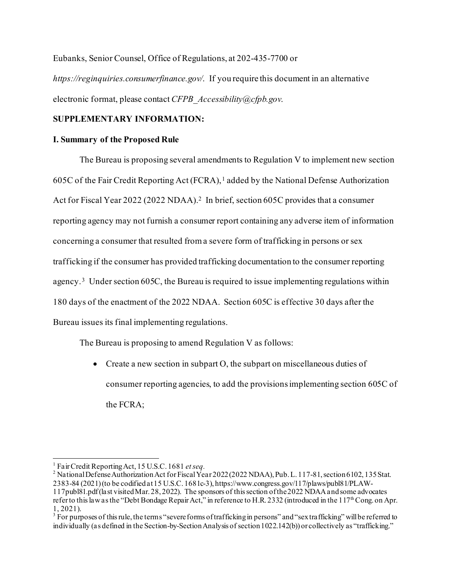Eubanks, Senior Counsel, Office of Regulations, at 202-435-7700 or

*https://reginquiries.consumerfinance.gov/*. If you require this document in an alternative electronic format, please contact *CFPB\_Accessibility@cfpb.gov*.

# **SUPPLEMENTARY INFORMATION:**

# **I. Summary of the Proposed Rule**

The Bureau is proposing several amendments to Regulation V to implement new section 605C of the Fair Credit Reporting Act (FCRA),<sup>[1](#page-2-0)</sup> added by the National Defense Authorization Act for Fiscal Year [2](#page-2-1)022 (2022 NDAA).<sup>2</sup> In brief, section 605C provides that a consumer reporting agency may not furnish a consumer report containing any adverse item of information concerning a consumer that resulted from a severe form of trafficking in persons or sex trafficking if the consumer has provided trafficking documentation to the consumer reporting agency.[3](#page-2-2) Under section 605C, the Bureau is required to issue implementing regulations within 180 days of the enactment of the 2022 NDAA. Section 605C is effective 30 days after the Bureau issues its final implementing regulations.

The Bureau is proposing to amend Regulation V as follows:

• Create a new section in subpart O, the subpart on miscellaneous duties of consumer reporting agencies, to add the provisions implementing section 605C of the FCRA;

<span id="page-2-1"></span><span id="page-2-0"></span><sup>&</sup>lt;sup>1</sup> Fair Credit Reporting Act, 15 U.S.C. 1681 *et seq.*<br><sup>2</sup> National Defense Authorization Act for Fiscal Year 2022 (2022 NDAA), Pub. L. 117-81, section 6102, 135 Stat. 2383-84 (2021)(to be codified at 15 U.S.C. 1681c-3), https://www.congress.gov/117/plaws/publ81/PLAW-117publ81.pdf(last visited Mar. 28, 2022). The sponsors of this section of the 2022 NDAA and some advocates refer to this law as the "Debt Bondage Repair Act," in reference to H.R. 2332 (introduced in the  $117^{\text{th}}$ Cong. on Apr. 1, 2021).<br><sup>3</sup> For purposes of this rule, the terms "severe forms of trafficking in persons" and "sex trafficking" will be referred to

<span id="page-2-2"></span>individually (as defined in the Section-by-Section Analysis of section 1022.142(b)) or collectively as "trafficking."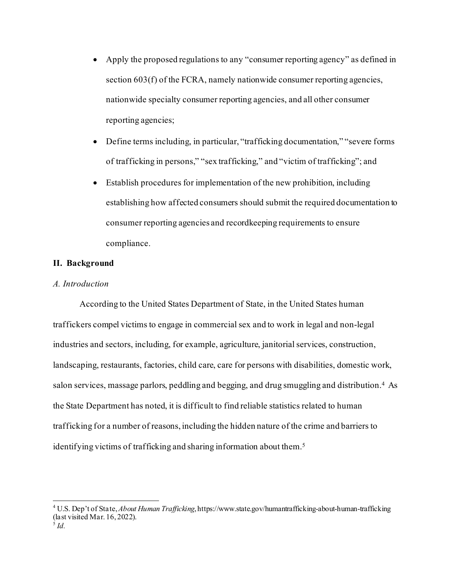- Apply the proposed regulations to any "consumer reporting agency" as defined in section 603(f) of the FCRA, namely nationwide consumer reporting agencies, nationwide specialty consumer reporting agencies, and all other consumer reporting agencies;
- Define terms including, in particular, "trafficking documentation," "severe forms of trafficking in persons," "sex trafficking," and "victim of trafficking"; and
- Establish procedures for implementation of the new prohibition, including establishing how affected consumers should submit the required documentation to consumer reporting agencies and recordkeeping requirements to ensure compliance.

# **II. Background**

# *A. Introduction*

According to the United States Department of State, in the United States human traffickers compel victims to engage in commercial sex and to work in legal and non-legal industries and sectors, including, for example, agriculture, janitorial services, construction, landscaping, restaurants, factories, child care, care for persons with disabilities, domestic work, salon services, massage parlors, peddling and begging, and drug smuggling and distribution.<sup>4</sup> As the State Department has noted, it is difficult to find reliable statistics related to human trafficking for a number of reasons, including the hidden nature of the crime and barriers to identifying victims of trafficking and sharing information about them[.5](#page-3-1)

<span id="page-3-1"></span><span id="page-3-0"></span><sup>4</sup> U.S. Dep't of State, *About Human Trafficking*, https://www.state.gov/humantrafficking-about-human-trafficking (last visited Mar. 16, 2022).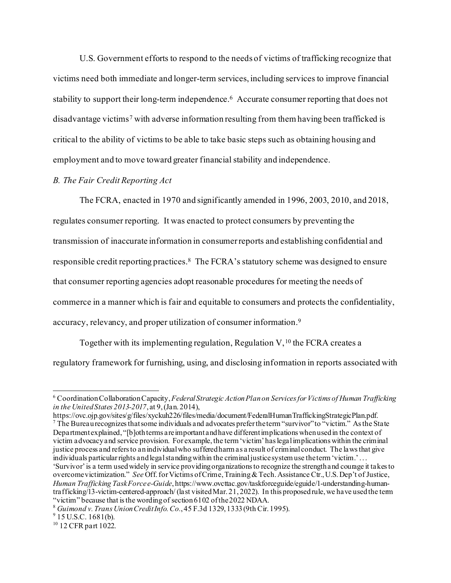U.S. Government efforts to respond to the needs of victims of trafficking recognize that victims need both immediate and longer-term services, including services to improve financial stability to support their long-term independence.<sup>[6](#page-4-0)</sup> Accurate consumer reporting that does not disadvantage victims<sup>[7](#page-4-1)</sup> with adverse information resulting from them having been trafficked is critical to the ability of victims to be able to take basic steps such as obtaining housing and employment and to move toward greater financial stability and independence.

## *B. The Fair Credit Reporting Act*

The FCRA, enacted in 1970 and significantly amended in 1996, 2003, 2010, and 2018, regulates consumer reporting. It was enacted to protect consumers by preventing the transmission of inaccurate information in consumer reports and establishing confidential and responsible credit reporting practices.<sup>8</sup> The FCRA's statutory scheme was designed to ensure that consumer reporting agencies adopt reasonable procedures for meeting the needs of commerce in a manner which is fair and equitable to consumers and protects the confidentiality, accuracy, relevancy, and proper utilization of consumer information.[9](#page-4-3) 

Together with its implementing regulation, Regulation  $V<sub>10</sub>$  $V<sub>10</sub>$  $V<sub>10</sub>$ , the FCRA creates a regulatory framework for furnishing, using, and disclosing information in reports associated with

<span id="page-4-1"></span>The Bureau recognizes that some individuals and advocates prefer the term "survivor" to "victim." As the State Department explained, "[b]oth terms are important and have different implications when used in the context of victim advocacy and service provision. For example, the term 'victim' has legal implications within the criminal justice process and refers to an individual who suffered harm as a result of criminal conduct. The laws that give individuals particular rights and legal standing within the criminal justice system use the term 'victim.' . . . 'Survivor' is a term used widely in service providing organizations to recognize the strength and courage it takes to overcome victimization." *See* Off. for Victims of Crime, Training & Tech. Assistance Ctr., U.S. Dep't of Justice, *Human Trafficking Task Force e-Guide*, https://www.ovcttac.gov/taskforceguide/eguide/1-understanding-humantrafficking/13-victim-centered-approach/ (last visited Mar. 21, 2022). In this proposed rule, we have used the term "victim" because that is the wording of section 6102 of the 2022 NDAA.

<span id="page-4-0"></span><sup>6</sup> Coordination Collaboration Capacity, *Federal Strategic Action Plan on Services for Victims of Human Trafficking in the United States 2013-2017*, at 9, (Jan. 2014),<br>https://ovc.ojp.gov/sites/g/files/xyckuh226/files/media/document/FederalHumanTraffickingStrategicPlan.pdf.

<span id="page-4-3"></span><span id="page-4-2"></span><sup>&</sup>lt;sup>8</sup> Guimond v. Trans Union Credit Info. Co., 45 F.3d 1329, 1333 (9th Cir. 1995).<br><sup>9</sup> 15 U.S.C. 1681(b).

<span id="page-4-4"></span><sup>&</sup>lt;sup>10</sup> 12 CFR part 1022.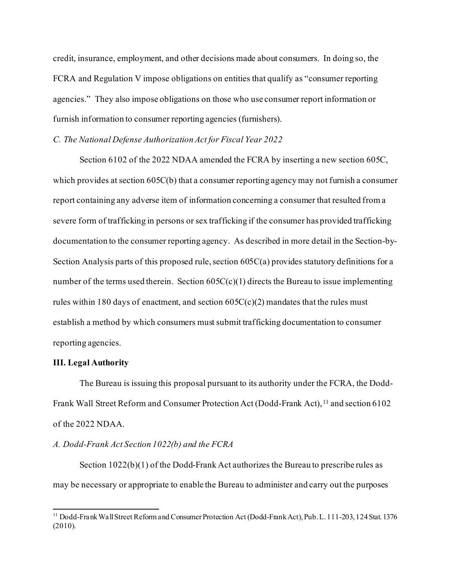credit, insurance, employment, and other decisions made about consumers. In doing so, the FCRA and Regulation V impose obligations on entities that qualify as "consumer reporting agencies." They also impose obligations on those who use consumer report information or furnish information to consumer reporting agencies (furnishers).

# *C. The National Defense Authorization Act for Fiscal Year 2022*

Section 6102 of the 2022 NDAA amended the FCRA by inserting a new section 605C, which provides at section 605C(b) that a consumer reporting agency may not furnish a consumer report containing any adverse item of information concerning a consumer that resulted from a severe form of trafficking in persons or sex trafficking if the consumer has provided trafficking documentation to the consumer reporting agency. As described in more detail in the Section-by-Section Analysis parts of this proposed rule, section 605C(a) provides statutory definitions for a number of the terms used therein. Section  $605C(c)(1)$  directs the Bureau to issue implementing rules within 180 days of enactment, and section  $605C(c)(2)$  mandates that the rules must establish a method by which consumers mustsubmit trafficking documentation to consumer reporting agencies.

#### **III. Legal Authority**

The Bureau is issuing this proposal pursuant to its authority under the FCRA, the Dodd-Frank Wall Street Reform and Consumer Protection Act (Dodd-Frank Act), <sup>[11](#page-5-0)</sup> and section 6102 of the 2022 NDAA.

#### *A. Dodd-Frank Act Section 1022(b) and the FCRA*

Section 1022(b)(1) of the Dodd-Frank Act authorizes the Bureau to prescribe rules as may be necessary or appropriate to enable the Bureau to administer and carry out the purposes

<span id="page-5-0"></span><sup>11</sup> Dodd-Frank Wall Street Reform and Consumer Protection Act (Dodd-Frank Act), Pub. L. 111-203, 124 Stat. 1376 (2010).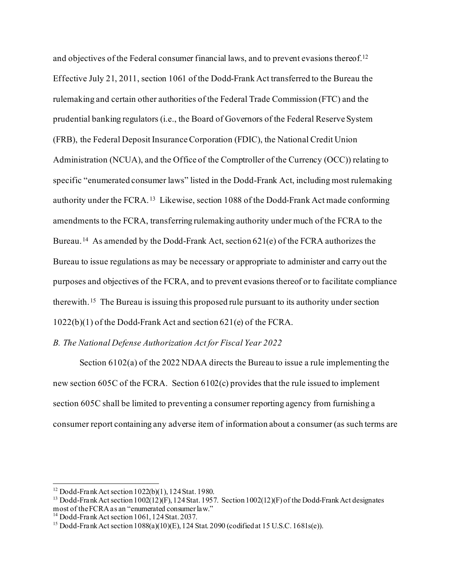and objectives of the Federal consumer financial laws, and to prevent evasions thereof.[12](#page-6-0) Effective July 21, 2011, section 1061 of the Dodd-Frank Act transferred to the Bureau the rulemaking and certain other authorities of the Federal Trade Commission (FTC) and the prudential banking regulators (i.e., the Board of Governors of the Federal Reserve System (FRB), the Federal Deposit Insurance Corporation (FDIC), the National Credit Union Administration (NCUA), and the Office of the Comptroller of the Currency (OCC)) relating to specific "enumerated consumer laws" listed in the Dodd-Frank Act, including most rulemaking authority under the FCRA. [13](#page-6-1) Likewise, section 1088 of the Dodd-Frank Act made conforming amendments to the FCRA, transferring rulemaking authority under much of the FCRA to the Bureau. [14](#page-6-2) As amended by the Dodd-Frank Act, section 621(e) of the FCRA authorizes the Bureau to issue regulations as may be necessary or appropriate to administer and carry out the purposes and objectives of the FCRA, and to prevent evasions thereof or to facilitate compliance therewith.[15](#page-6-3) The Bureau is issuing this proposed rule pursuant to its authority under section 1022(b)(1) of the Dodd-Frank Act and section 621(e) of the FCRA.

# *B. The National Defense Authorization Act for Fiscal Year 2022*

Section 6102(a) of the 2022 NDAA directs the Bureau to issue a rule implementing the new section 605C of the FCRA. Section 6102(c) provides that the rule issued to implement section 605C shall be limited to preventing a consumer reporting agency from furnishing a consumer report containing any adverse item of information about a consumer (as such terms are

<span id="page-6-0"></span><sup>12</sup> Dodd-Frank Act section 1022(b)(1), 124 Stat. 1980.

<span id="page-6-1"></span><sup>&</sup>lt;sup>13</sup> Dodd-Frank Act section 1002(12)(F), 124 Stat. 1957. Section 1002(12)(F) of the Dodd-Frank Act designates most of the FCRA as an "enumerated consumer law."

<span id="page-6-3"></span><span id="page-6-2"></span><sup>&</sup>lt;sup>14</sup> Dodd-Frank Act section 1061, 124 Stat. 2037.<br><sup>15</sup> Dodd-Frank Act section 1088(a)(10)(E), 124 Stat. 2090 (codified at 15 U.S.C. 1681s(e)).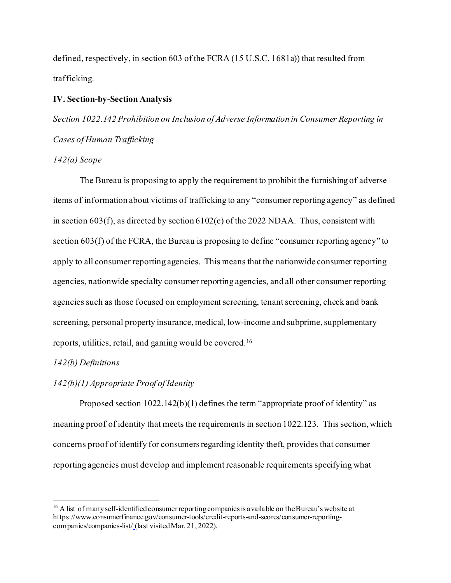defined, respectively, in section 603 of the FCRA (15 U.S.C. 1681a)) that resulted from trafficking.

## **IV. Section-by-Section Analysis**

*Section 1022.142 Prohibition on Inclusion of Adverse Information in Consumer Reporting in Cases of Human Trafficking*

#### *142(a) Scope*

The Bureau is proposing to apply the requirement to prohibit the furnishing of adverse items of information about victims of trafficking to any "consumer reporting agency" as defined in section 603(f), as directed by section 6102(c) of the 2022 NDAA. Thus, consistent with section 603(f) of the FCRA, the Bureau is proposing to define "consumer reporting agency" to apply to all consumer reporting agencies. This means that the nationwide consumer reporting agencies, nationwide specialty consumer reporting agencies, and all other consumer reporting agencies such as those focused on employment screening, tenant screening, check and bank screening, personal property insurance, medical, low-income and subprime, supplementary reports, utilities, retail, and gaming would be covered[.16](#page-7-0)

## *142(b) Definitions*

# *142(b)(1) Appropriate Proof of Identity*

Proposed section 1022.142(b)(1) defines the term "appropriate proof of identity" as meaning proof of identity that meets the requirements in section 1022.123. This section, which concerns proof of identify for consumers regarding identity theft, provides that consumer reporting agencies must develop and implement reasonable requirements specifying what

<span id="page-7-0"></span><sup>&</sup>lt;sup>16</sup> A list of many self-identified consumer reporting companies is a vailable on the Bureau's website at https://www.consumerfinance.gov/consumer-tools/credit-reports-and-scores/consumer-reportingcompanies/companies-list/ (last visited Mar. 21, 2022).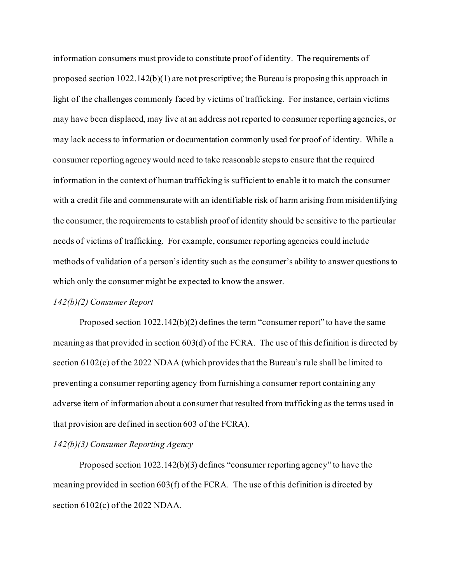information consumers must provide to constitute proof of identity. The requirements of proposed section 1022.142(b)(1) are not prescriptive; the Bureau is proposing this approach in light of the challenges commonly faced by victims of trafficking. For instance, certain victims may have been displaced, may live at an address not reported to consumer reporting agencies, or may lack access to information or documentation commonly used for proof of identity. While a consumer reporting agency would need to take reasonable steps to ensure that the required information in the context of human trafficking is sufficient to enable it to match the consumer with a credit file and commensurate with an identifiable risk of harm arising from misidentifying the consumer, the requirements to establish proof of identity should be sensitive to the particular needs of victims of trafficking. For example, consumer reporting agencies could include methods of validation of a person's identity such as the consumer's ability to answer questions to which only the consumer might be expected to know the answer.

#### *142(b)(2) Consumer Report*

Proposed section 1022.142(b)(2) defines the term "consumer report" to have the same meaning as that provided in section 603(d) of the FCRA. The use of this definition is directed by section 6102(c) of the 2022 NDAA (which provides that the Bureau's rule shall be limited to preventing a consumer reporting agency from furnishing a consumer report containing any adverse item of information about a consumer that resulted from trafficking as the terms used in that provision are defined in section 603 of the FCRA).

# *142(b)(3) Consumer Reporting Agency*

Proposed section 1022.142(b)(3) defines "consumer reporting agency" to have the meaning provided in section 603(f) of the FCRA. The use of this definition is directed by section 6102(c) of the 2022 NDAA.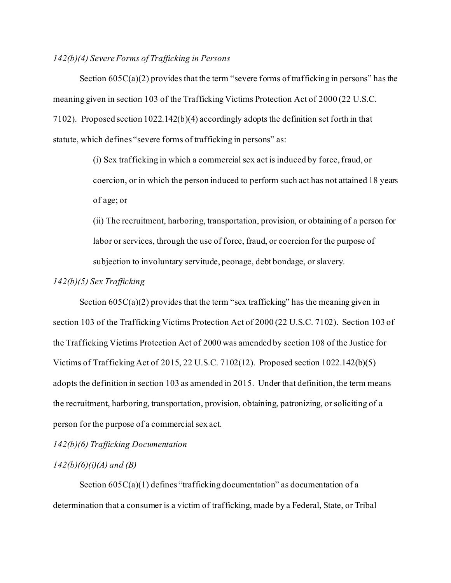## *142(b)(4) Severe Forms of Trafficking in Persons*

Section  $605C(a)(2)$  provides that the term "severe forms of trafficking in persons" has the meaning given in section 103 of the Trafficking Victims Protection Act of 2000 (22 U.S.C. 7102). Proposed section 1022.142(b)(4) accordingly adopts the definition set forth in that statute, which defines "severe forms of trafficking in persons" as:

> (i) Sex trafficking in which a commercial sex act is induced by force, fraud, or coercion, or in which the person induced to perform such act has not attained 18 years of age; or

> (ii) The recruitment, harboring, transportation, provision, or obtaining of a person for labor or services, through the use of force, fraud, or coercion for the purpose of subjection to involuntary servitude, peonage, debt bondage, or slavery.

*142(b)(5) Sex Trafficking*

Section  $605C(a)(2)$  provides that the term "sex trafficking" has the meaning given in section 103 of the Trafficking Victims Protection Act of 2000 (22 U.S.C. 7102). Section 103 of the Trafficking Victims Protection Act of 2000 was amended by section 108 of the Justice for Victims of Trafficking Act of 2015, 22 U.S.C. 7102(12). Proposed section 1022.142(b)(5) adopts the definition in section 103 as amended in 2015. Under that definition, the term means the recruitment, harboring, transportation, provision, obtaining, patronizing, or soliciting of a person for the purpose of a commercial sex act.

*142(b)(6) Trafficking Documentation*

# *142(b)(6)(i)(A) and (B)*

Section  $605C(a)(1)$  defines "trafficking documentation" as documentation of a determination that a consumer is a victim of trafficking, made by a Federal, State, or Tribal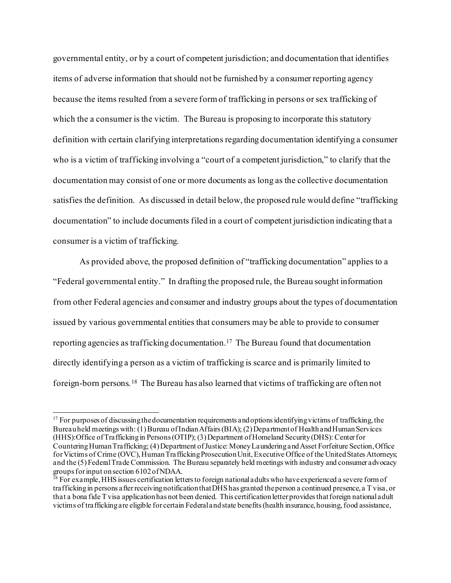governmental entity, or by a court of competent jurisdiction; and documentation that identifies items of adverse information that should not be furnished by a consumer reporting agency because the items resulted from a severe form of trafficking in persons or sex trafficking of which the a consumer is the victim. The Bureau is proposing to incorporate this statutory definition with certain clarifying interpretations regarding documentation identifying a consumer who is a victim of trafficking involving a "court of a competent jurisdiction," to clarify that the documentation may consist of one or more documents as long as the collective documentation satisfies the definition. As discussed in detail below, the proposed rule would define "trafficking documentation" to include documents filed in a court of competent jurisdiction indicating that a consumer is a victim of trafficking.

As provided above, the proposed definition of "trafficking documentation" applies to a "Federal governmental entity." In drafting the proposed rule, the Bureau sought information from other Federal agencies and consumer and industry groups about the types of documentation issued by various governmental entities that consumers may be able to provide to consumer reporting agencies as trafficking documentation[.17](#page-10-0) The Bureau found that documentation directly identifying a person as a victim of trafficking is scarce and is primarily limited to foreign-born persons. [18](#page-10-1) The Bureau has also learned that victims of trafficking are often not

<span id="page-10-0"></span><sup>&</sup>lt;sup>17</sup> For purposes of discussing the documentation requirements and options identifying victims of trafficking, the Bureau held meetings with: (1) Bureau of Indian Affairs (BIA); (2) Department of Health and Human Services (HHS):Office of Trafficking in Persons(OTIP); (3) Department of Homeland Security (DHS): Center for Countering Human Trafficking; (4) Department of Justice: Money Laundering and Asset Forfeiture Section, Office for Victims of Crime (OVC), Human Trafficking Prosecution Unit, Executive Office of the United States Attorneys; and the (5) Federal Trade Commission. The Bureau separately held meetings with industry and consumer advocacy groups for input on section 6102 of NDAA.

<span id="page-10-1"></span><sup>&</sup>lt;sup>18</sup> For example, HHS issues certification letters to foreign national adults who have experienced a severe form of trafficking in persons after receiving notification thatDHS has granted the person a continued presence, a T visa, or that a bona fide T visa application has not been denied. This certification letter provides that foreign national adult victims of trafficking are eligible for certain Federal and state benefits (health insurance, housing, food assistance,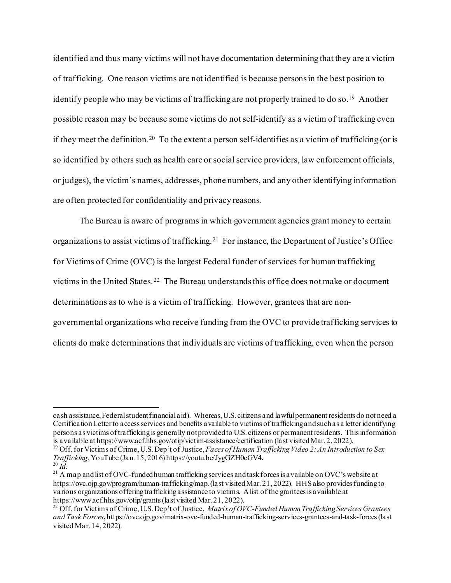identified and thus many victims will not have documentation determining that they are a victim of trafficking. One reason victims are not identified is because persons in the best position to identify people who may be victims of trafficking are not properly trained to do so. [19](#page-11-0) Another possible reason may be because some victims do not self-identify as a victim of trafficking even if they meet the definition. [20](#page-11-1) To the extent a person self-identifies as a victim of trafficking (or is so identified by others such as health care or social service providers, law enforcement officials, or judges), the victim's names, addresses, phone numbers, and any other identifying information are often protected for confidentiality and privacy reasons.

The Bureau is aware of programs in which government agencies grant money to certain organizations to assist victims of trafficking.[21](#page-11-2) For instance, the Department of Justice's Office for Victims of Crime (OVC) is the largest Federal funder of services for human trafficking victims in the United States.[22](#page-11-3) The Bureau understands this office does not make or document determinations as to who is a victim of trafficking. However, grantees that are nongovernmental organizations who receive funding from the OVC to provide trafficking services to clients do make determinations that individuals are victims of trafficking, even when the person

cash assistance, Federal student financial aid). Whereas, U.S. citizens and lawful permanent residents do not need a Certification Letter to access services and benefits available to victims of trafficking and such as a letter identifying persons as victims of trafficking is generally not provided to U.S. citizens or permanent residents. This information<br>is a vailable at https://www.acf.hhs.gov/otip/victim-assistance/certification (last visited Mar. 2, 2022

<span id="page-11-0"></span><sup>&</sup>lt;sup>19</sup> Off. for Victims of Crime, U.S. Dep't of Justice, *Faces of Human Trafficking Video 2: An Introduction to Sex Trafficking*, YouTube (Jan. 15, 2016) https://youtu.be/JygGZH0cGV4.

<span id="page-11-2"></span><span id="page-11-1"></span><sup>&</sup>lt;sup>20</sup> *Id.* 2016. The CovEurn of CovE-funded human trafficking services and task forces is a vailable on OVC's website at <sup>21</sup> A map and list of OVC-funded human trafficking services and task forces is a vailable on OVC's w https://ovc.ojp.gov/program/human-trafficking/map. (last visited Mar. 21, 2022). HHS also provides funding to various organizations offering trafficking assistance to victims. A list of the grantees is available at https://www.acf.hhs.gov/otip/grants (last visited Mar. 21, 2022).

<span id="page-11-3"></span><sup>&</sup>lt;sup>22</sup> Off. for Victims of Crime, U.S. Dep't of Justice, *Matrix of OVC-Funded Human Trafficking Services Grantees and Task Forces***,** https://ovc.ojp.gov/matrix-ovc-funded-human-trafficking-services-grantees-and-task-forces(last visited Mar. 14, 2022).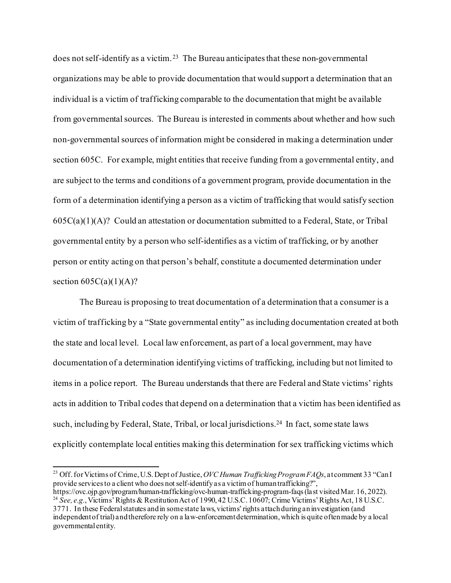does not self-identify as a victim.<sup>[23](#page-12-0)</sup> The Bureau anticipates that these non-governmental organizations may be able to provide documentation that would support a determination that an individual is a victim of trafficking comparable to the documentation that might be available from governmental sources. The Bureau is interested in comments about whether and how such non-governmental sources of information might be considered in making a determination under section 605C. For example, might entities that receive funding from a governmental entity, and are subject to the terms and conditions of a government program, provide documentation in the form of a determination identifying a person as a victim of trafficking that would satisfy section  $605C(a)(1)(A)$ ? Could an attestation or documentation submitted to a Federal, State, or Tribal governmental entity by a person who self-identifies as a victim of trafficking, or by another person or entity acting on that person's behalf, constitute a documented determination under section  $605C(a)(1)(A)?$ 

The Bureau is proposing to treat documentation of a determination that a consumer is a victim of trafficking by a "State governmental entity" as including documentation created at both the state and local level. Local law enforcement, as part of a local government, may have documentation of a determination identifying victims of trafficking, including but not limited to items in a police report. The Bureau understands that there are Federal and State victims' rights acts in addition to Tribal codes that depend on a determination that a victim has been identified as such, including by Federal, State, Tribal, or local jurisdictions. [24](#page-12-1) In fact, some state laws explicitly contemplate local entities making this determination for sex trafficking victims which

<span id="page-12-1"></span><span id="page-12-0"></span><sup>23</sup> Off. for Victims of Crime, U.S. Dept of Justice, *OVC Human Trafficking Program FAQs*, at comment 33 "Can I provide services to a client who does not self-identify as a victim of human trafficking?",<br>https://ovc.ojp.gov/program/human-trafficking/ovc-human-trafficking-program-faqs (last visited Mar. 16, 2022). <sup>24</sup> See, e.g., Victims' Rights & Restitution Act of 1990, 42 U.S.C. 10607; Crime Victims' Rights Act, 18 U.S.C. 3771. In these Federal statutes and in some state laws, victims' rights attach during an investigation (and independent of trial) and therefore rely on a law-enforcement determination, which is quite often made by a local governmental entity.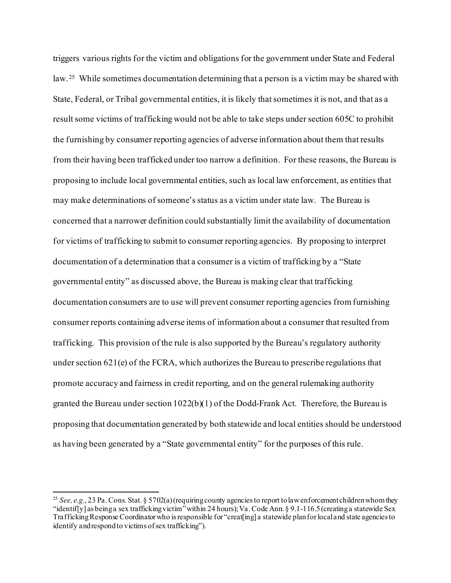triggers various rights for the victim and obligations for the government under State and Federal law.<sup>25</sup> While sometimes documentation determining that a person is a victim may be shared with State, Federal, or Tribal governmental entities, it is likely that sometimes it is not, and that as a result some victims of trafficking would not be able to take steps under section 605C to prohibit the furnishing by consumer reporting agencies of adverse information about them that results from their having been trafficked under too narrow a definition. For these reasons, the Bureau is proposing to include local governmental entities, such as local law enforcement, as entities that may make determinations of someone's status as a victim under state law. The Bureau is concerned that a narrower definition could substantially limit the availability of documentation for victims of trafficking to submit to consumer reporting agencies. By proposing to interpret documentation of a determination that a consumer is a victim of trafficking by a "State governmental entity" as discussed above, the Bureau is making clear that trafficking documentation consumers are to use will prevent consumer reporting agencies from furnishing consumer reports containing adverse items of information about a consumer that resulted from trafficking. This provision of the rule is also supported by the Bureau's regulatory authority under section  $621(e)$  of the FCRA, which authorizes the Bureau to prescribe regulations that promote accuracy and fairness in credit reporting, and on the general rulemaking authority granted the Bureau under section  $1022(b)(1)$  of the Dodd-Frank Act. Therefore, the Bureau is proposing that documentation generated by both statewide and local entities should be understood as having been generated by a "State governmental entity" for the purposes of this rule.

<span id="page-13-0"></span><sup>&</sup>lt;sup>25</sup> See, e.g., 23 Pa. Cons. Stat. § 5702(a) (requiring county agencies to report to law enforcement children whom they "identif[y] as being a sex trafficking victim" within 24 hours); Va. Code Ann. § 9.1-116.5 (creating a statewide Sex Trafficking Response Coordinator who is responsible for "creat[ing] a statewide plan for local and state agencies to identify and respond to victims of sex trafficking").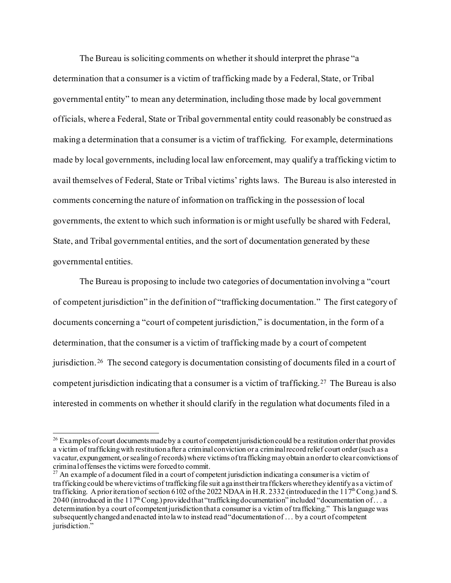The Bureau is soliciting comments on whether it should interpret the phrase "a determination that a consumer is a victim of trafficking made by a Federal, State, or Tribal governmental entity" to mean any determination, including those made by local government officials, where a Federal, State or Tribal governmental entity could reasonably be construed as making a determination that a consumer is a victim of trafficking. For example, determinations made by local governments, including local law enforcement, may qualify a trafficking victim to avail themselves of Federal, State or Tribal victims' rights laws. The Bureau is also interested in comments concerning the nature of information on trafficking in the possession of local governments, the extent to which such information is or might usefully be shared with Federal, State, and Tribal governmental entities, and the sort of documentation generated by these governmental entities.

The Bureau is proposing to include two categories of documentation involving a "court of competent jurisdiction" in the definition of "trafficking documentation." The first category of documents concerning a "court of competent jurisdiction," is documentation, in the form of a determination, that the consumer is a victim of trafficking made by a court of competent jurisdiction.[26](#page-14-0) The second category is documentation consisting of documents filed in a court of competent jurisdiction indicating that a consumer is a victim of trafficking.[27](#page-14-1) The Bureau is also interested in comments on whether it should clarify in the regulation what documents filed in a

<span id="page-14-0"></span> $^{26}$  Examples of court documents made by a court of competent jurisdiction could be a restitution order that provides a victim of trafficking with restitution after a criminal conviction or a criminal record relief court order (such as a vacatur, expungement, or sealing of records) where victims of trafficking may obtain an order to clear convictions of criminal offenses the victims were forced to commit.

<span id="page-14-1"></span><sup>&</sup>lt;sup>27</sup> An example of a document filed in a court of competent jurisdiction indicating a consumer is a victim of trafficking could be where victims of trafficking file suit against their traffickers where they identify as a victim of trafficking. A prior iteration of section 6102 of the 2022 NDAA in H.R. 2332 (introduced in the 117<sup>th</sup> Cong.) and S. 2040 (introduced in the 117<sup>th</sup> Cong.) provided that "trafficking documentation" included "documentation of ... a determination by a court of competent jurisdiction that a consumer is a victim of trafficking." This language was subsequently changed and enacted into law to instead read "documentation of . . . by a court of competent jurisdiction."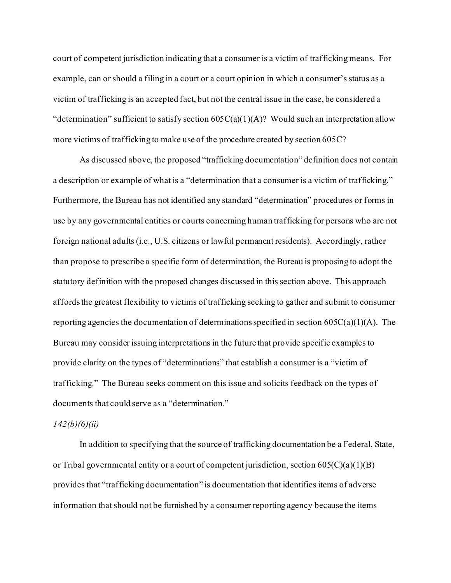court of competent jurisdiction indicating that a consumer is a victim of trafficking means. For example, can or should a filing in a court or a court opinion in which a consumer's status as a victim of trafficking is an accepted fact, but not the central issue in the case, be considered a "determination" sufficient to satisfy section  $605C(a)(1)(A)$ ? Would such an interpretation allow more victims of trafficking to make use of the procedure created by section 605C?

As discussed above, the proposed "trafficking documentation" definition does not contain a description or example of what is a "determination that a consumer is a victim of trafficking." Furthermore, the Bureau has not identified any standard "determination" procedures or forms in use by any governmental entities or courts concerning human trafficking for persons who are not foreign national adults (i.e., U.S. citizens or lawful permanent residents). Accordingly, rather than propose to prescribe a specific form of determination, the Bureau is proposing to adopt the statutory definition with the proposed changes discussed in this section above. This approach affords the greatest flexibility to victims of trafficking seeking to gather and submit to consumer reporting agencies the documentation of determinations specified in section  $605C(a)(1)(A)$ . The Bureau may consider issuing interpretations in the future that provide specific examples to provide clarity on the types of "determinations" that establish a consumer is a "victim of trafficking." The Bureau seeks comment on this issue and solicits feedback on the types of documents that could serve as a "determination."

#### *142(b)(6)(ii)*

In addition to specifying that the source of trafficking documentation be a Federal, State, or Tribal governmental entity or a court of competent jurisdiction, section  $605(C)(a)(1)(B)$ provides that "trafficking documentation" is documentation that identifies items of adverse information that should not be furnished by a consumer reporting agency because the items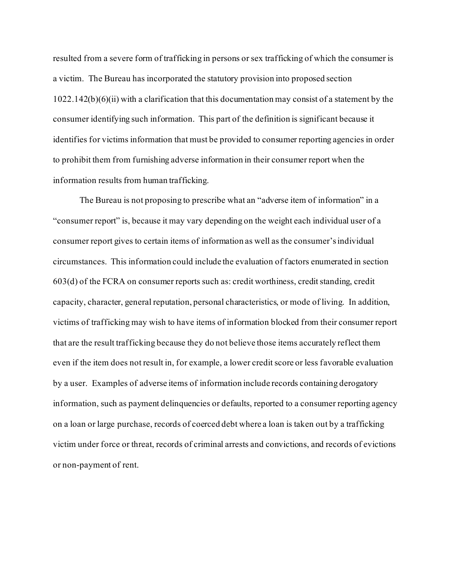resulted from a severe form of trafficking in persons or sex trafficking of which the consumer is a victim. The Bureau has incorporated the statutory provision into proposed section 1022.142(b)(6)(ii) with a clarification that this documentation may consist of a statement by the consumer identifying such information. This part of the definition is significant because it identifies for victims information that must be provided to consumer reporting agencies in order to prohibit them from furnishing adverse information in their consumer report when the information results from human trafficking.

The Bureau is not proposing to prescribe what an "adverse item of information" in a "consumer report" is, because it may vary depending on the weight each individual user of a consumer report gives to certain items of information as well as the consumer's individual circumstances. This information could include the evaluation of factors enumerated in section 603(d) of the FCRA on consumer reports such as: credit worthiness, credit standing, credit capacity, character, general reputation, personal characteristics, or mode of living. In addition, victims of trafficking may wish to have items of information blocked from their consumer report that are the result trafficking because they do not believe those items accurately reflect them even if the item does not result in, for example, a lower credit score or less favorable evaluation by a user. Examples of adverse items of information include records containing derogatory information, such as payment delinquencies or defaults, reported to a consumer reporting agency on a loan or large purchase, records of coerced debt where a loan is taken out by a trafficking victim under force or threat, records of criminal arrests and convictions, and records of evictions or non-payment of rent.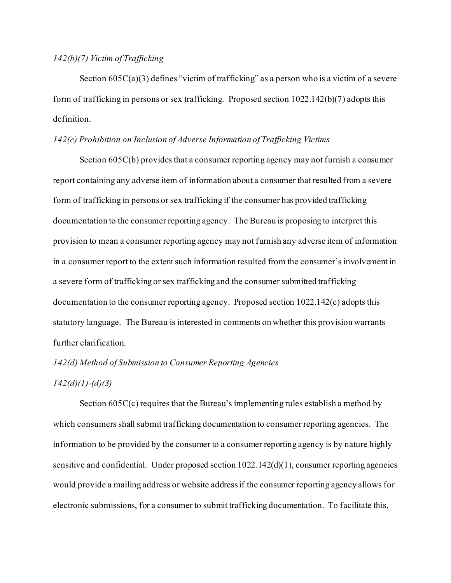# *142(b)(7) Victim of Trafficking*

Section  $605C(a)(3)$  defines "victim of trafficking" as a person who is a victim of a severe form of trafficking in persons or sex trafficking. Proposed section 1022.142(b)(7) adopts this definition.

## *142(c) Prohibition on Inclusion of Adverse Information of Trafficking Victims*

Section 605C(b) provides that a consumer reporting agency may not furnish a consumer report containing any adverse item of information about a consumer that resulted from a severe form of trafficking in persons or sex trafficking if the consumer has provided trafficking documentation to the consumer reporting agency. The Bureau is proposing to interpret this provision to mean a consumer reporting agency may not furnish any adverse item of information in a consumer report to the extent such information resulted from the consumer's involvement in a severe form of trafficking or sex trafficking and the consumer submitted trafficking documentation to the consumer reporting agency. Proposed section 1022.142(c) adopts this statutory language. The Bureau is interested in comments on whether this provision warrants further clarification.

# *142(d) Method of Submission to Consumer Reporting Agencies*

# *142(d)(1)-(d)(3)*

Section 605C(c) requires that the Bureau's implementing rules establish a method by which consumers shall submit trafficking documentation to consumer reporting agencies. The information to be provided by the consumer to a consumer reporting agency is by nature highly sensitive and confidential. Under proposed section  $1022.142(d)(1)$ , consumer reporting agencies would provide a mailing address or website address if the consumer reporting agency allows for electronic submissions, for a consumer to submit trafficking documentation. To facilitate this,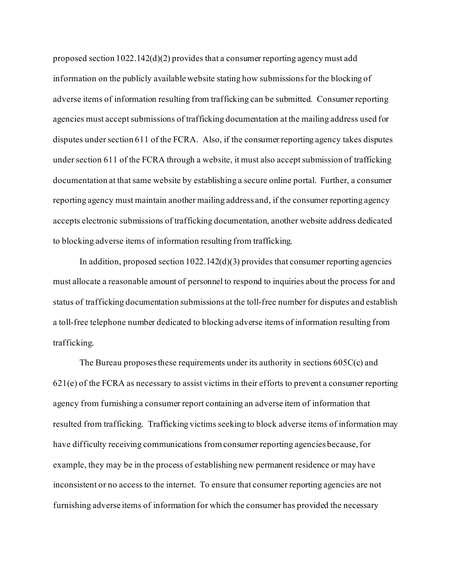proposed section  $1022.142(d)(2)$  provides that a consumer reporting agency must add information on the publicly available website stating how submissions for the blocking of adverse items of information resulting from trafficking can be submitted. Consumer reporting agencies must accept submissions of trafficking documentation at the mailing address used for disputes under section 611 of the FCRA. Also, if the consumer reporting agency takes disputes under section 611 of the FCRA through a website, it must also accept submission of trafficking documentation at that same website by establishing a secure online portal. Further, a consumer reporting agency must maintain another mailing address and, if the consumer reporting agency accepts electronic submissions of trafficking documentation, another website address dedicated to blocking adverse items of information resulting from trafficking.

In addition, proposed section  $1022.142(d)(3)$  provides that consumer reporting agencies must allocate a reasonable amount of personnel to respond to inquiries about the process for and status of trafficking documentation submissions at the toll-free number for disputes and establish a toll-free telephone number dedicated to blocking adverse items of information resulting from trafficking.

The Bureau proposes these requirements under its authority in sections 605C(c) and  $621(e)$  of the FCRA as necessary to assist victims in their efforts to prevent a consumer reporting agency from furnishing a consumer report containing an adverse item of information that resulted from trafficking. Trafficking victims seeking to block adverse items of information may have difficulty receiving communications from consumer reporting agencies because, for example, they may be in the process of establishing new permanent residence or may have inconsistent or no access to the internet. To ensure that consumer reporting agencies are not furnishing adverse items of information for which the consumer has provided the necessary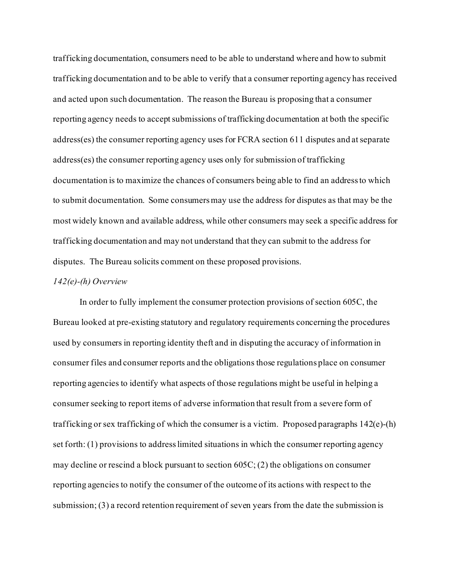trafficking documentation, consumers need to be able to understand where and how to submit trafficking documentation and to be able to verify that a consumer reporting agency has received and acted upon such documentation. The reason the Bureau is proposing that a consumer reporting agency needs to accept submissions of trafficking documentation at both the specific address(es) the consumer reporting agency uses for FCRA section 611 disputes and at separate address(es) the consumer reporting agency uses only for submission of trafficking documentation is to maximize the chances of consumers being able to find an address to which to submit documentation. Some consumers may use the address for disputes as that may be the most widely known and available address, while other consumers may seek a specific address for trafficking documentation and may not understand that they can submit to the address for disputes. The Bureau solicits comment on these proposed provisions.

#### *142(e)-(h) Overview*

In order to fully implement the consumer protection provisions of section 605C, the Bureau looked at pre-existing statutory and regulatory requirements concerning the procedures used by consumers in reporting identity theft and in disputing the accuracy of information in consumer files and consumer reports and the obligations those regulations place on consumer reporting agencies to identify what aspects of those regulations might be useful in helping a consumer seeking to report items of adverse information that result from a severe form of trafficking or sex trafficking of which the consumer is a victim. Proposed paragraphs 142(e)-(h) set forth: (1) provisions to address limited situations in which the consumer reporting agency may decline or rescind a block pursuant to section 605C; (2) the obligations on consumer reporting agencies to notify the consumer of the outcome of its actions with respect to the submission; (3) a record retention requirement of seven years from the date the submission is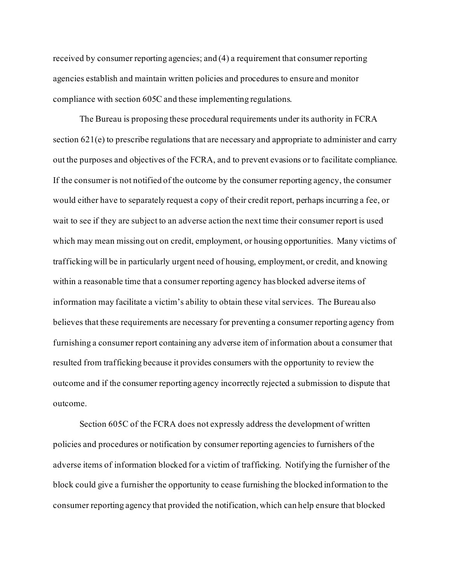received by consumer reporting agencies; and (4) a requirement that consumer reporting agencies establish and maintain written policies and procedures to ensure and monitor compliance with section 605C and these implementing regulations.

The Bureau is proposing these procedural requirements under its authority in FCRA section 621(e) to prescribe regulations that are necessary and appropriate to administer and carry out the purposes and objectives of the FCRA, and to prevent evasions or to facilitate compliance. If the consumer is not notified of the outcome by the consumer reporting agency, the consumer would either have to separately request a copy of their credit report, perhaps incurring a fee, or wait to see if they are subject to an adverse action the next time their consumer report is used which may mean missing out on credit, employment, or housing opportunities. Many victims of trafficking will be in particularly urgent need of housing, employment, or credit, and knowing within a reasonable time that a consumer reporting agency has blocked adverse items of information may facilitate a victim's ability to obtain these vital services. The Bureau also believes that these requirements are necessary for preventing a consumer reporting agency from furnishing a consumer report containing any adverse item of information about a consumer that resulted from trafficking because it provides consumers with the opportunity to review the outcome and if the consumer reporting agency incorrectly rejected a submission to dispute that outcome.

Section 605C of the FCRA does not expressly address the development of written policies and procedures or notification by consumer reporting agencies to furnishers of the adverse items of information blocked for a victim of trafficking. Notifying the furnisher of the block could give a furnisher the opportunity to cease furnishing the blocked information to the consumer reporting agency that provided the notification, which can help ensure that blocked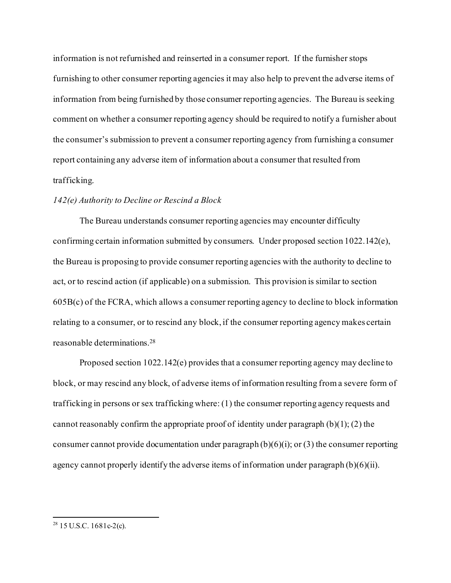information is not refurnished and reinserted in a consumer report. If the furnisher stops furnishing to other consumer reporting agencies it may also help to prevent the adverse items of information from being furnished by those consumer reporting agencies. The Bureau is seeking comment on whether a consumer reporting agency should be required to notify a furnisher about the consumer's submission to prevent a consumer reporting agency from furnishing a consumer report containing any adverse item of information about a consumer that resulted from trafficking.

#### *142(e) Authority to Decline or Rescind a Block*

The Bureau understands consumer reporting agencies may encounter difficulty confirming certain information submitted by consumers. Under proposed section 1022.142(e), the Bureau is proposing to provide consumer reporting agencies with the authority to decline to act, or to rescind action (if applicable) on a submission. This provision is similar to section 605B(c) of the FCRA, which allows a consumer reporting agency to decline to block information relating to a consumer, or to rescind any block, if the consumer reporting agency makes certain reasonable determinations[.28](#page-21-0)

Proposed section 1022.142(e) provides that a consumer reporting agency may decline to block, or may rescind any block, of adverse items of information resulting from a severe form of trafficking in persons or sex trafficking where: (1) the consumer reporting agency requests and cannot reasonably confirm the appropriate proof of identity under paragraph  $(b)(1)$ ;  $(2)$  the consumer cannot provide documentation under paragraph  $(b)(6)(i)$ ; or  $(3)$  the consumer reporting agency cannot properly identify the adverse items of information under paragraph  $(b)(6)(ii)$ .

<span id="page-21-0"></span> $28$  15 U.S.C. 1681c-2(c).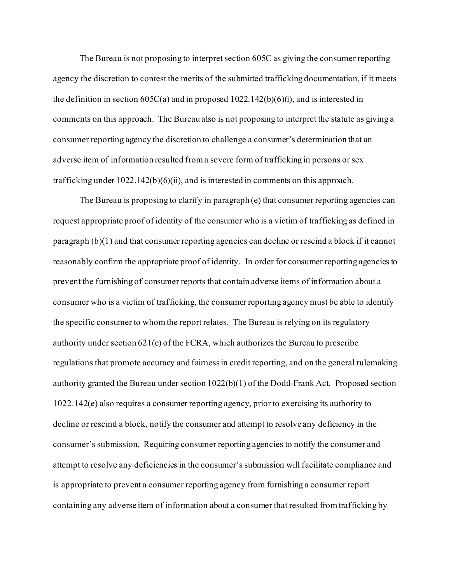The Bureau is not proposing to interpret section 605C as giving the consumer reporting agency the discretion to contest the merits of the submitted trafficking documentation, if it meets the definition in section  $605C(a)$  and in proposed  $1022.142(b)(6)(i)$ , and is interested in comments on this approach. The Bureau also is not proposing to interpret the statute as giving a consumer reporting agency the discretion to challenge a consumer's determination that an adverse item of information resulted from a severe form of trafficking in persons or sex trafficking under 1022.142(b)(6)(ii), and is interested in comments on this approach.

The Bureau is proposing to clarify in paragraph (e) that consumer reporting agencies can request appropriate proof of identity of the consumer who is a victim of trafficking as defined in paragraph (b)(1) and that consumer reporting agencies can decline or rescind a block if it cannot reasonably confirm the appropriate proof of identity. In order for consumer reporting agencies to prevent the furnishing of consumer reports that contain adverse items of information about a consumer who is a victim of trafficking, the consumer reporting agency must be able to identify the specific consumer to whom the report relates. The Bureau is relying on its regulatory authority under section 621(e) of the FCRA, which authorizes the Bureau to prescribe regulations that promote accuracy and fairness in credit reporting, and on the general rulemaking authority granted the Bureau under section 1022(b)(1) of the Dodd-Frank Act. Proposed section 1022.142(e) also requires a consumer reporting agency, prior to exercising its authority to decline or rescind a block, notify the consumer and attempt to resolve any deficiency in the consumer's submission. Requiring consumer reporting agencies to notify the consumer and attempt to resolve any deficiencies in the consumer's submission will facilitate compliance and is appropriate to prevent a consumer reporting agency from furnishing a consumer report containing any adverse item of information about a consumer that resulted from trafficking by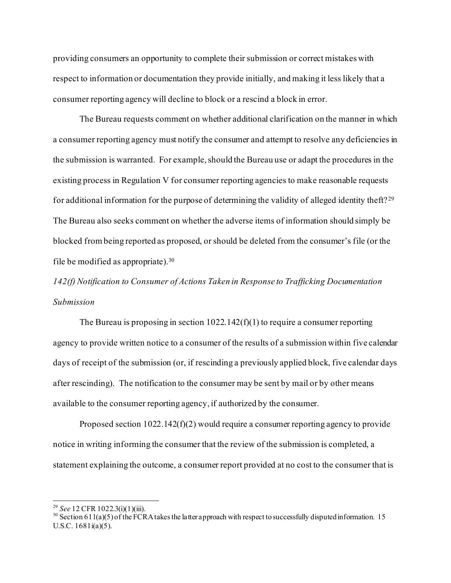providing consumers an opportunity to complete their submission or correct mistakes with respect to information or documentation they provide initially, and making it less likely that a consumer reporting agency will decline to block or a rescind a block in error.

The Bureau requests comment on whether additional clarification on the manner in which a consumer reporting agency must notify the consumer and attempt to resolve any deficiencies in the submission is warranted. For example, should the Bureau use or adapt the procedures in the existing process in Regulation V for consumer reporting agencies to make reasonable requests for additional information for the purpose of determining the validity of alleged identity theft? [29](#page-23-0) The Bureau also seeks comment on whether the adverse items of information should simply be blocked from being reported as proposed, or should be deleted from the consumer's file (or the file be modified as appropriate).[30](#page-23-1)

*142(f) Notification to Consumer of Actions Taken in Response to Trafficking Documentation Submission*

The Bureau is proposing in section  $1022.142(f)(1)$  to require a consumer reporting agency to provide written notice to a consumer of the results of a submission within five calendar days of receipt of the submission (or, if rescinding a previously applied block, five calendar days after rescinding). The notification to the consumer may be sent by mail or by other means available to the consumer reporting agency, if authorized by the consumer.

Proposed section  $1022.142(f)(2)$  would require a consumer reporting agency to provide notice in writing informing the consumer that the review of the submission is completed, a statement explaining the outcome, a consumer report provided at no cost to the consumer that is

<span id="page-23-1"></span><span id="page-23-0"></span><sup>&</sup>lt;sup>29</sup> *See* 12 CFR 1022.3(i)(1)(iii).<br><sup>30</sup> Section 611(a)(5) of the FCRA takes the latter approach with respect to successfully disputed information. 15 U.S.C. 1681i(a)(5).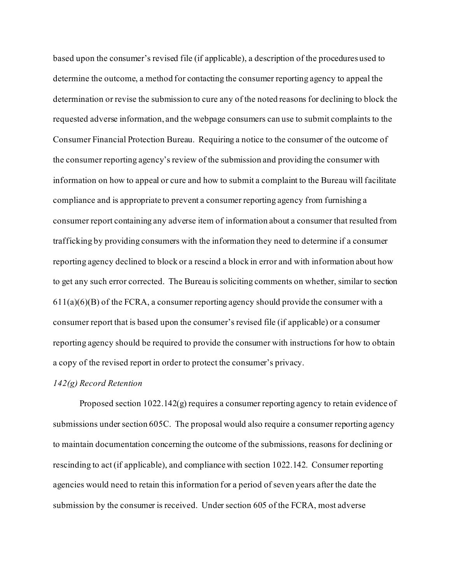based upon the consumer's revised file (if applicable), a description of the procedures used to determine the outcome, a method for contacting the consumer reporting agency to appeal the determination or revise the submission to cure any of the noted reasons for declining to block the requested adverse information, and the webpage consumers can use to submit complaints to the Consumer Financial Protection Bureau. Requiring a notice to the consumer of the outcome of the consumer reporting agency's review of the submission and providing the consumer with information on how to appeal or cure and how to submit a complaint to the Bureau will facilitate compliance and is appropriate to prevent a consumer reporting agency from furnishing a consumer report containing any adverse item of information about a consumer that resulted from trafficking by providing consumers with the information they need to determine if a consumer reporting agency declined to block or a rescind a block in error and with information about how to get any such error corrected. The Bureau is soliciting comments on whether, similar to section  $611(a)(6)(B)$  of the FCRA, a consumer reporting agency should provide the consumer with a consumer report that is based upon the consumer's revised file (if applicable) or a consumer reporting agency should be required to provide the consumer with instructions for how to obtain a copy of the revised report in order to protect the consumer's privacy.

#### *142(g) Record Retention*

Proposed section 1022.142(g) requires a consumer reporting agency to retain evidence of submissions under section 605C. The proposal would also require a consumer reporting agency to maintain documentation concerning the outcome of the submissions, reasons for declining or rescinding to act (if applicable), and compliance with section 1022.142. Consumer reporting agencies would need to retain this information for a period of seven years after the date the submission by the consumer is received. Under section 605 of the FCRA, most adverse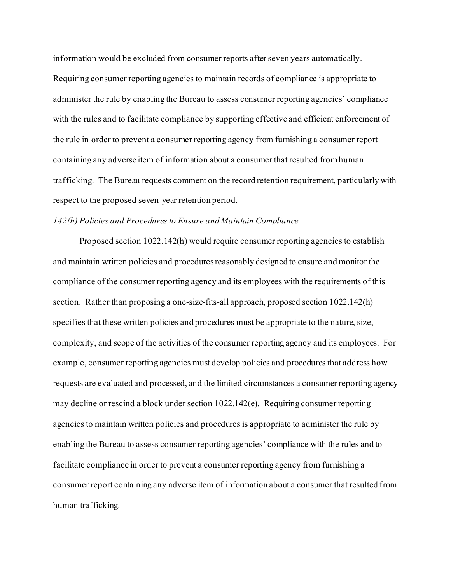information would be excluded from consumer reports after seven years automatically. Requiring consumer reporting agencies to maintain records of compliance is appropriate to administer the rule by enabling the Bureau to assess consumer reporting agencies' compliance with the rules and to facilitate compliance by supporting effective and efficient enforcement of the rule in order to prevent a consumer reporting agency from furnishing a consumer report containing any adverse item of information about a consumer that resulted from human trafficking. The Bureau requests comment on the record retention requirement, particularly with respect to the proposed seven-year retention period.

## *142(h) Policies and Procedures to Ensure and Maintain Compliance*

Proposed section 1022.142(h) would require consumer reporting agencies to establish and maintain written policies and procedures reasonably designed to ensure and monitor the compliance of the consumer reporting agency and its employees with the requirements of this section. Rather than proposing a one-size-fits-all approach, proposed section 1022.142(h) specifies that these written policies and procedures must be appropriate to the nature, size, complexity, and scope of the activities of the consumer reporting agency and its employees. For example, consumer reporting agencies must develop policies and procedures that address how requests are evaluated and processed, and the limited circumstances a consumer reporting agency may decline or rescind a block under section 1022.142(e). Requiring consumer reporting agencies to maintain written policies and procedures is appropriate to administer the rule by enabling the Bureau to assess consumer reporting agencies' compliance with the rules and to facilitate compliance in order to prevent a consumer reporting agency from furnishing a consumer report containing any adverse item of information about a consumer that resulted from human trafficking.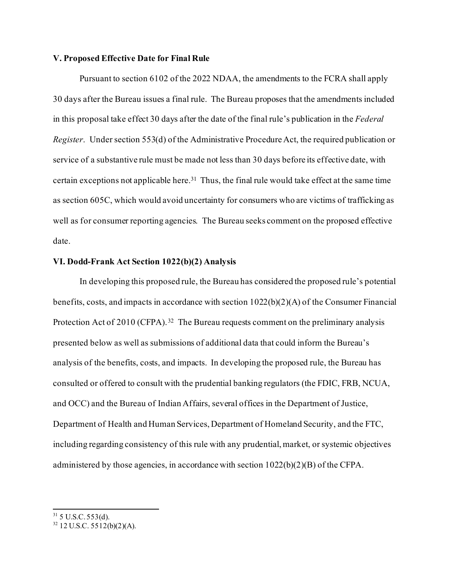## **V. Proposed Effective Date for Final Rule**

Pursuant to section 6102 of the 2022 NDAA, the amendments to the FCRA shall apply 30 days after the Bureau issues a final rule. The Bureau proposes that the amendments included in this proposal take effect 30 days after the date of the final rule's publication in the *Federal Register*. Under section 553(d) of the Administrative Procedure Act, the required publication or service of a substantive rule must be made not less than 30 days before its effective date, with certain exceptions not applicable here[.31](#page-26-0) Thus, the final rule would take effect at the same time as section 605C, which would avoid uncertainty for consumers who are victims of trafficking as well as for consumer reporting agencies. The Bureau seeks comment on the proposed effective date.

## **VI. Dodd-Frank Act Section 1022(b)(2) Analysis**

In developing this proposed rule, the Bureau has considered the proposed rule's potential benefits, costs, and impacts in accordance with section 1022(b)(2)(A) of the Consumer Financial Protection Act of 2010 (CFPA).<sup>[32](#page-26-1)</sup> The Bureau requests comment on the preliminary analysis presented below as well as submissions of additional data that could inform the Bureau's analysis of the benefits, costs, and impacts. In developing the proposed rule, the Bureau has consulted or offered to consult with the prudential banking regulators (the FDIC, FRB, NCUA, and OCC) and the Bureau of Indian Affairs, several offices in the Department of Justice, Department of Health and Human Services, Department of Homeland Security, and the FTC, including regarding consistency of this rule with any prudential, market, or systemic objectives administered by those agencies, in accordance with section 1022(b)(2)(B) of the CFPA.

<span id="page-26-0"></span> $31$  5 U.S.C. 553(d).

<span id="page-26-1"></span> $32$  12 U.S.C. 5512(b)(2)(A).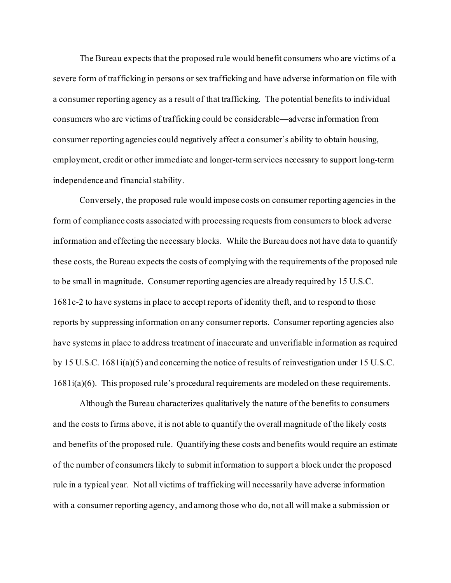The Bureau expects that the proposed rule would benefit consumers who are victims of a severe form of trafficking in persons or sex trafficking and have adverse information on file with a consumer reporting agency as a result of that trafficking. The potential benefits to individual consumers who are victims of trafficking could be considerable—adverse information from consumer reporting agencies could negatively affect a consumer's ability to obtain housing, employment, credit or other immediate and longer-term services necessary to support long-term independence and financial stability.

Conversely, the proposed rule would impose costs on consumer reporting agencies in the form of compliance costs associated with processing requests from consumers to block adverse information and effecting the necessary blocks. While the Bureau does not have data to quantify these costs, the Bureau expects the costs of complying with the requirements of the proposed rule to be small in magnitude. Consumer reporting agencies are already required by 15 U.S.C. 1681c-2 to have systems in place to accept reports of identity theft, and to respond to those reports by suppressing information on any consumer reports. Consumer reporting agencies also have systems in place to address treatment of inaccurate and unverifiable information as required by 15 U.S.C. 1681i(a)(5) and concerning the notice of results of reinvestigation under 15 U.S.C. 1681i(a)(6). This proposed rule's procedural requirements are modeled on these requirements.

Although the Bureau characterizes qualitatively the nature of the benefits to consumers and the costs to firms above, it is not able to quantify the overall magnitude of the likely costs and benefits of the proposed rule. Quantifying these costs and benefits would require an estimate of the number of consumers likely to submit information to support a block under the proposed rule in a typical year. Not all victims of trafficking will necessarily have adverse information with a consumer reporting agency, and among those who do, not all will make a submission or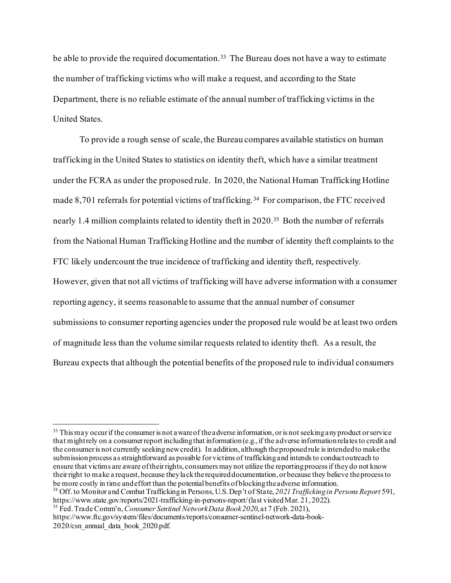be able to provide the required documentation.<sup>[33](#page-28-0)</sup> The Bureau does not have a way to estimate the number of trafficking victims who will make a request, and according to the State Department, there is no reliable estimate of the annual number of trafficking victims in the United States.

To provide a rough sense of scale, the Bureau compares available statistics on human trafficking in the United States to statistics on identity theft, which have a similar treatment under the FCRA as under the proposed rule. In 2020, the National Human Trafficking Hotline made 8,701 referrals for potential victims of trafficking.<sup>[34](#page-28-1)</sup> For comparison, the FTC received nearly 1.4 million complaints related to identity theft in 2020.<sup>35</sup> Both the number of referrals from the National Human Trafficking Hotline and the number of identity theft complaints to the FTC likely undercount the true incidence of trafficking and identity theft, respectively. However, given that not all victims of trafficking will have adverse information with a consumer reporting agency, it seems reasonable to assume that the annual number of consumer submissions to consumer reporting agencies under the proposed rule would be at least two orders of magnitude less than the volume similar requests related to identity theft. As a result, the Bureau expects that although the potential benefits of the proposed rule to individual consumers

<span id="page-28-2"></span><sup>35</sup> Fed. Trade Comm'n, *Consumer Sentinel Network Data Book 2020*, at 7 (Feb. 2021),

<span id="page-28-0"></span> $33$  This may occur if the consumer is not aware of the adverse information, or is not seeking any product or service that might rely on a consumer report including that information (e.g., if the adverse information relates to credit and the consumer is not currently seeking new credit). In addition, although the proposed rule is intended to make the submission process as straightforward as possible for victims of trafficking and intends to conduct outreach to ensure that victims are aware of their rights, consumers may not utilize the reporting process if they do not know their right to make a request, because they lack the required documentation, or because they believe the process to be more costly in time and effort than the potential benefits of blocking the adverse information.

<span id="page-28-1"></span><sup>&</sup>lt;sup>34</sup> Off. to Monitor and Combat Trafficking in Persons, U.S. Dep't of State, 2021 Trafficking in Persons Report 591,<br>https://www.state.gov/reports/2021-trafficking-in-persons-report/(last visited Mar. 21, 2022).

https://www.ftc.gov/system/files/documents/reports/consumer-sentinel-network-data-book-2020/csn\_annual\_data\_book\_2020.pdf.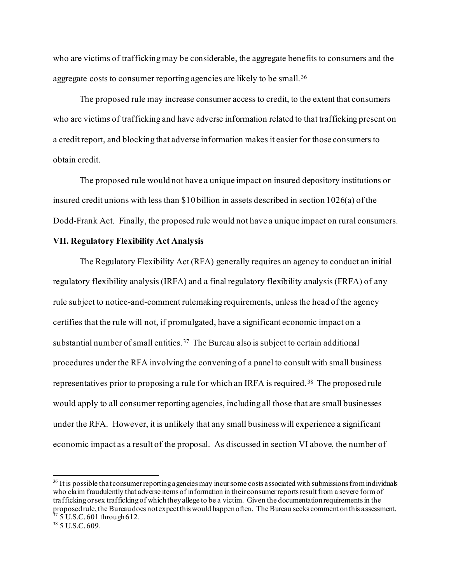who are victims of trafficking may be considerable, the aggregate benefits to consumers and the aggregate costs to consumer reporting agencies are likely to be small.<sup>[36](#page-29-0)</sup>

The proposed rule may increase consumer access to credit, to the extent that consumers who are victims of trafficking and have adverse information related to that trafficking present on a credit report, and blocking that adverse information makes it easier for those consumers to obtain credit.

The proposed rule would not have a unique impact on insured depository institutions or insured credit unions with less than \$10 billion in assets described in section 1026(a) of the Dodd-Frank Act. Finally, the proposed rule would not have a unique impact on rural consumers.

## **VII. Regulatory Flexibility Act Analysis**

The Regulatory Flexibility Act (RFA) generally requires an agency to conduct an initial regulatory flexibility analysis (IRFA) and a final regulatory flexibility analysis (FRFA) of any rule subject to notice-and-comment rulemaking requirements, unless the head of the agency certifies that the rule will not, if promulgated, have a significant economic impact on a substantial number of small entities.<sup>37</sup> The Bureau also is subject to certain additional procedures under the RFA involving the convening of a panel to consult with small business representatives prior to proposing a rule for which an IRFA is required.<sup>[38](#page-29-2)</sup> The proposed rule would apply to all consumer reporting agencies, including all those that are small businesses under the RFA. However, it is unlikely that any small business will experience a significant economic impact as a result of the proposal. As discussed in section VI above, the number of

<span id="page-29-0"></span><sup>&</sup>lt;sup>36</sup> It is possible that consumer reporting a gencies may incur some costs associated with submissions from individuals who claim fraudulently that adverse items of information in their consumer reports result from a severe form of trafficking or sex trafficking of which they allege to be a victim. Given the documentation requirements in the proposed rule, the Bureau does not expect this would happen often. The Bureau seeks comment on this assessment.  $37\ 5$  U.S.C. 601 through 612.<br> $38\ 5$  U.S.C. 609.

<span id="page-29-2"></span><span id="page-29-1"></span>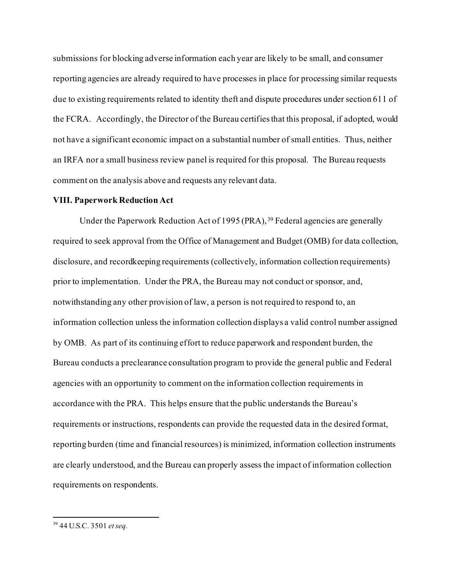submissions for blocking adverse information each year are likely to be small, and consumer reporting agencies are already required to have processes in place for processing similar requests due to existing requirements related to identity theft and dispute procedures under section 611 of the FCRA. Accordingly, the Director of the Bureau certifies that this proposal, if adopted, would not have a significant economic impact on a substantial number of small entities. Thus, neither an IRFA nor a small business review panel is required for this proposal. The Bureau requests comment on the analysis above and requests any relevant data.

#### **VIII. Paperwork Reduction Act**

Under the Paperwork Reduction Act of 1995 (PRA), [39](#page-30-0) Federal agencies are generally required to seek approval from the Office of Management and Budget (OMB) for data collection, disclosure, and recordkeeping requirements (collectively, information collection requirements) prior to implementation. Under the PRA, the Bureau may not conduct or sponsor, and, notwithstanding any other provision of law, a person is not required to respond to, an information collection unless the information collection displays a valid control number assigned by OMB. As part of its continuing effort to reduce paperwork and respondent burden, the Bureau conducts a preclearance consultation program to provide the general public and Federal agencies with an opportunity to comment on the information collection requirements in accordance with the PRA. This helps ensure that the public understands the Bureau's requirements or instructions, respondents can provide the requested data in the desired format, reporting burden (time and financial resources) is minimized, information collection instruments are clearly understood, and the Bureau can properly assess the impact of information collection requirements on respondents.

<span id="page-30-0"></span><sup>39</sup> 44 U.S.C. 3501 *et seq.*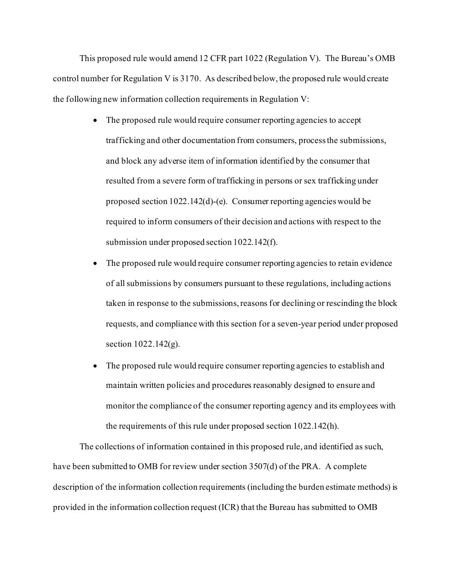This proposed rule would amend 12 CFR part 1022 (Regulation V). The Bureau's OMB control number for Regulation V is 3170. As described below, the proposed rule would create the following new information collection requirements in Regulation V:

- The proposed rule would require consumer reporting agencies to accept trafficking and other documentation from consumers, process the submissions, and block any adverse item of information identified by the consumer that resulted from a severe form of trafficking in persons or sex trafficking under proposed section 1022.142(d)-(e). Consumer reporting agencies would be required to inform consumers of their decision and actions with respect to the submission under proposed section 1022.142(f).
- The proposed rule would require consumer reporting agencies to retain evidence of all submissions by consumers pursuant to these regulations, including actions taken in response to the submissions, reasons for declining or rescinding the block requests, and compliance with this section for a seven-year period under proposed section 1022.142(g).
- The proposed rule would require consumer reporting agencies to establish and maintain written policies and procedures reasonably designed to ensure and monitor the compliance of the consumer reporting agency and its employees with the requirements of this rule under proposed section 1022.142(h).

The collections of information contained in this proposed rule, and identified as such, have been submitted to OMB for review under section 3507(d) of the PRA. A complete description of the information collection requirements (including the burden estimate methods) is provided in the information collection request (ICR) that the Bureau has submitted to OMB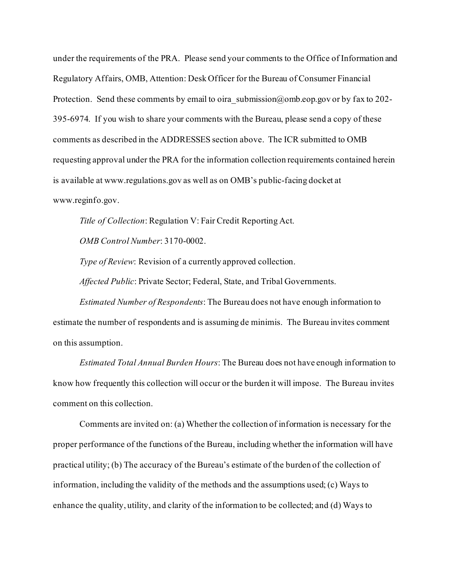under the requirements of the PRA. Please send your comments to the Office of Information and Regulatory Affairs, OMB, Attention: Desk Officer for the Bureau of Consumer Financial Protection. Send these comments by email to oira  $\sin\theta$  submission  $\omega$  on beyon.gov or by fax to 202-395-6974. If you wish to share your comments with the Bureau, please send a copy of these comments as described in the ADDRESSES section above. The ICR submitted to OMB requesting approval under the PRA for the information collection requirements contained herein is available at www.regulations.gov as well as on OMB's public-facing docket at www.reginfo.gov.

*Title of Collection*: Regulation V: Fair Credit Reporting Act.

*OMB Control Number*: 3170-0002.

*Type of Review*: Revision of a currently approved collection.

*Affected Public*: Private Sector; Federal, State, and Tribal Governments.

*Estimated Number of Respondents*: The Bureau does not have enough information to estimate the number of respondents and is assuming de minimis. The Bureau invites comment on this assumption.

*Estimated Total Annual Burden Hours*: The Bureau does not have enough information to know how frequently this collection will occur or the burden it will impose. The Bureau invites comment on this collection.

Comments are invited on: (a) Whether the collection of information is necessary for the proper performance of the functions of the Bureau, including whether the information will have practical utility; (b) The accuracy of the Bureau's estimate of the burden of the collection of information, including the validity of the methods and the assumptions used; (c) Ways to enhance the quality, utility, and clarity of the information to be collected; and (d) Ways to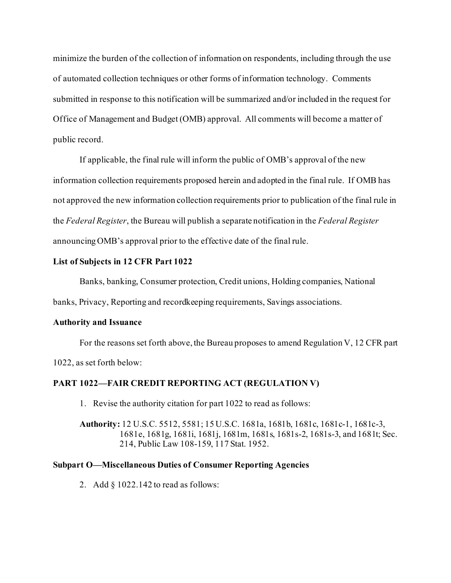minimize the burden of the collection of information on respondents, including through the use of automated collection techniques or other forms of information technology. Comments submitted in response to this notification will be summarized and/or included in the request for Office of Management and Budget (OMB) approval. All comments will become a matter of public record.

If applicable, the final rule will inform the public of OMB's approval of the new information collection requirements proposed herein and adopted in the final rule. If OMB has not approved the new information collection requirements prior to publication of the final rule in the *Federal Register*, the Bureau will publish a separate notification in the *Federal Register* announcing OMB's approval prior to the effective date of the final rule.

## **List of Subjects in 12 CFR Part 1022**

Banks, banking, Consumer protection, Credit unions, Holding companies, National

banks, Privacy, Reporting and recordkeeping requirements, Savings associations.

## **Authority and Issuance**

For the reasons set forth above, the Bureau proposes to amend Regulation V, 12 CFR part 1022, as set forth below:

# **PART 1022—FAIR CREDIT REPORTING ACT (REGULATION V)**

1. Revise the authority citation for part 1022 to read as follows:

**Authority:** 12 U.S.C. 5512, 5581; 15 U.S.C. 1681a, 1681b, 1681c, 1681c-1, 1681c-3, 1681e, 1681g, 1681i, 1681j, 1681m, 1681s, 1681s-2, 1681s-3, and 1681t; Sec. 214, Public Law 108-159, 117 Stat. 1952.

## **Subpart O—Miscellaneous Duties of Consumer Reporting Agencies**

2. Add § 1022.142 to read as follows: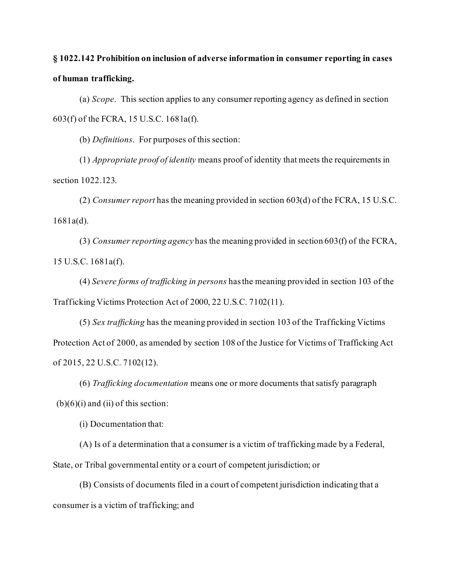# **§ 1022.142 Prohibition on inclusion of adverse information in consumer reporting in cases of human trafficking.**

(a) *Scope*. This section applies to any consumer reporting agency as defined in section 603(f) of the FCRA, 15 U.S.C. 1681a(f).

(b) *Definitions*. For purposes of this section:

(1) *Appropriate proof of identity* means proof of identity that meets the requirements in section 1022.123.

(2) *Consumer report* has the meaning provided in section 603(d) of the FCRA, 15 U.S.C. 1681a(d).

(3) *Consumer reporting agency* has the meaning provided in section 603(f) of the FCRA, 15 U.S.C. 1681a(f).

(4) *Severe forms of trafficking in persons* has the meaning provided in section 103 of the Trafficking Victims Protection Act of 2000, 22 U.S.C. 7102(11).

(5) *Sex trafficking* has the meaning provided in section 103 of the Trafficking Victims Protection Act of 2000, as amended by section 108 of the Justice for Victims of Trafficking Act of 2015, 22 U.S.C. 7102(12).

(6) *Trafficking documentation* means one or more documents that satisfy paragraph  $(b)(6)(i)$  and  $(ii)$  of this section:

(i) Documentation that:

(A) Is of a determination that a consumer is a victim of trafficking made by a Federal, State, or Tribal governmental entity or a court of competent jurisdiction; or

(B) Consists of documents filed in a court of competent jurisdiction indicating that a consumer is a victim of trafficking; and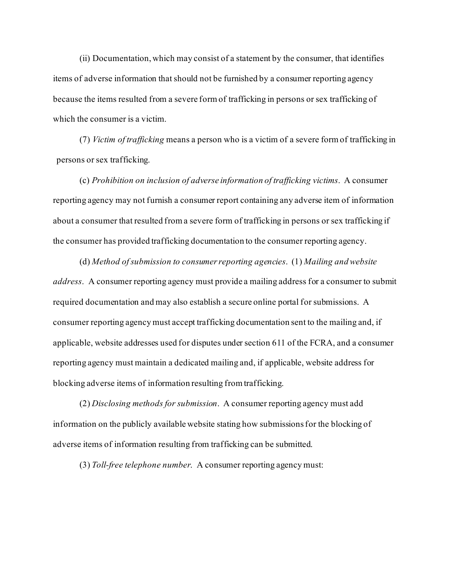(ii) Documentation, which may consist of a statement by the consumer, that identifies items of adverse information that should not be furnished by a consumer reporting agency because the items resulted from a severe form of trafficking in persons or sex trafficking of which the consumer is a victim.

(7) *Victim of trafficking* means a person who is a victim of a severe form of trafficking in persons or sex trafficking.

(c) *Prohibition on inclusion of adverse information of trafficking victims*. A consumer reporting agency may not furnish a consumer report containing any adverse item of information about a consumer that resulted from a severe form of trafficking in persons or sex trafficking if the consumer has provided trafficking documentation to the consumer reporting agency.

(d) *Method of submission to consumer reporting agencies*. (1) *Mailing and website address*. A consumer reporting agency must provide a mailing address for a consumer to submit required documentation and may also establish a secure online portal for submissions. A consumer reporting agency must accept trafficking documentation sent to the mailing and, if applicable, website addresses used for disputes under section 611 of the FCRA, and a consumer reporting agency must maintain a dedicated mailing and, if applicable, website address for blocking adverse items of information resulting from trafficking.

(2) *Disclosing methods for submission*. A consumer reporting agency must add information on the publicly available website stating how submissions for the blocking of adverse items of information resulting from trafficking can be submitted.

(3) *Toll-free telephone number*. A consumer reporting agency must: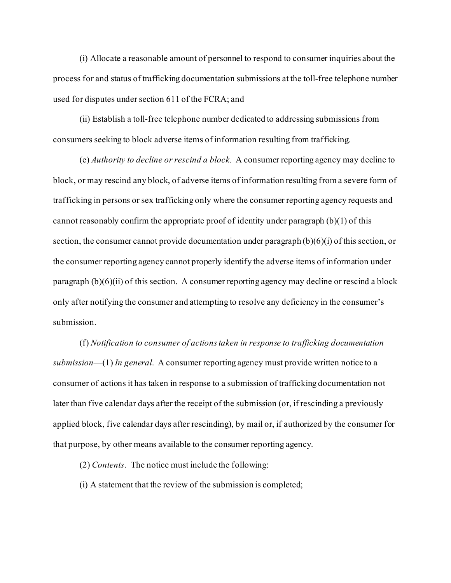(i) Allocate a reasonable amount of personnel to respond to consumer inquiries about the process for and status of trafficking documentation submissions at the toll-free telephone number used for disputes under section 611 of the FCRA; and

(ii) Establish a toll-free telephone number dedicated to addressing submissions from consumers seeking to block adverse items of information resulting from trafficking.

(e) *Authority to decline or rescind a block.* A consumer reporting agency may decline to block, or may rescind any block, of adverse items of information resulting from a severe form of trafficking in persons or sex trafficking only where the consumer reporting agency requests and cannot reasonably confirm the appropriate proof of identity under paragraph  $(b)(1)$  of this section, the consumer cannot provide documentation under paragraph (b)(6)(i) of this section, or the consumer reporting agency cannot properly identify the adverse items of information under paragraph  $(b)(6)(ii)$  of this section. A consumer reporting agency may decline or rescind a block only after notifying the consumer and attempting to resolve any deficiency in the consumer's submission.

(f) *Notification to consumer of actions taken in response to trafficking documentation submission*—(1) *In general*. A consumer reporting agency must provide written notice to a consumer of actions it has taken in response to a submission of trafficking documentation not later than five calendar days after the receipt of the submission (or, if rescinding a previously applied block, five calendar days after rescinding), by mail or, if authorized by the consumer for that purpose, by other means available to the consumer reporting agency.

(2) *Contents*. The notice must include the following:

(i) A statement that the review of the submission is completed;